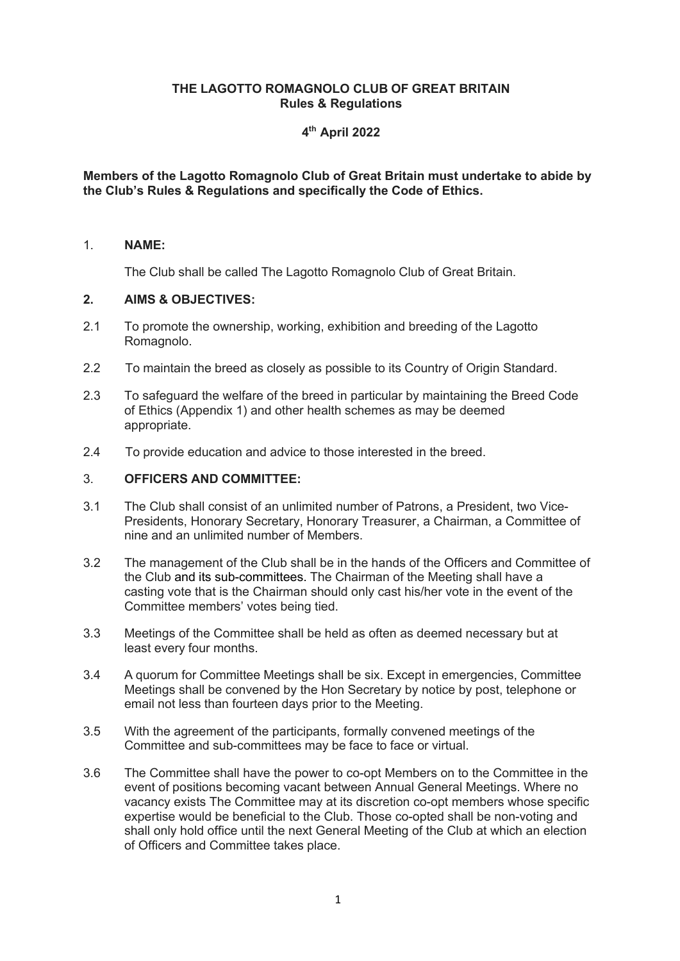## **THE LAGOTTO ROMAGNOLO CLUB OF GREAT BRITAIN Rules & Regulations**

# **4th April 2022**

## **Members of the Lagotto Romagnolo Club of Great Britain must undertake to abide by the Club's Rules & Regulations and specifically the Code of Ethics.**

## 1. **NAME:**

The Club shall be called The Lagotto Romagnolo Club of Great Britain.

## **2. AIMS & OBJECTIVES:**

- 2.1 To promote the ownership, working, exhibition and breeding of the Lagotto Romagnolo.
- 2.2 To maintain the breed as closely as possible to its Country of Origin Standard.
- 2.3 To safeguard the welfare of the breed in particular by maintaining the Breed Code of Ethics (Appendix 1) and other health schemes as may be deemed appropriate.
- 2.4 To provide education and advice to those interested in the breed.

## 3. **OFFICERS AND COMMITTEE:**

- 3.1 The Club shall consist of an unlimited number of Patrons, a President, two Vice-Presidents, Honorary Secretary, Honorary Treasurer, a Chairman, a Committee of nine and an unlimited number of Members.
- 3.2 The management of the Club shall be in the hands of the Officers and Committee of the Club and its sub-committees. The Chairman of the Meeting shall have a casting vote that is the Chairman should only cast his/her vote in the event of the Committee members' votes being tied.
- 3.3 Meetings of the Committee shall be held as often as deemed necessary but at least every four months.
- 3.4 A quorum for Committee Meetings shall be six. Except in emergencies, Committee Meetings shall be convened by the Hon Secretary by notice by post, telephone or email not less than fourteen days prior to the Meeting.
- 3.5 With the agreement of the participants, formally convened meetings of the Committee and sub-committees may be face to face or virtual.
- 3.6 The Committee shall have the power to co-opt Members on to the Committee in the event of positions becoming vacant between Annual General Meetings. Where no vacancy exists The Committee may at its discretion co-opt members whose specific expertise would be beneficial to the Club. Those co-opted shall be non-voting and shall only hold office until the next General Meeting of the Club at which an election of Officers and Committee takes place.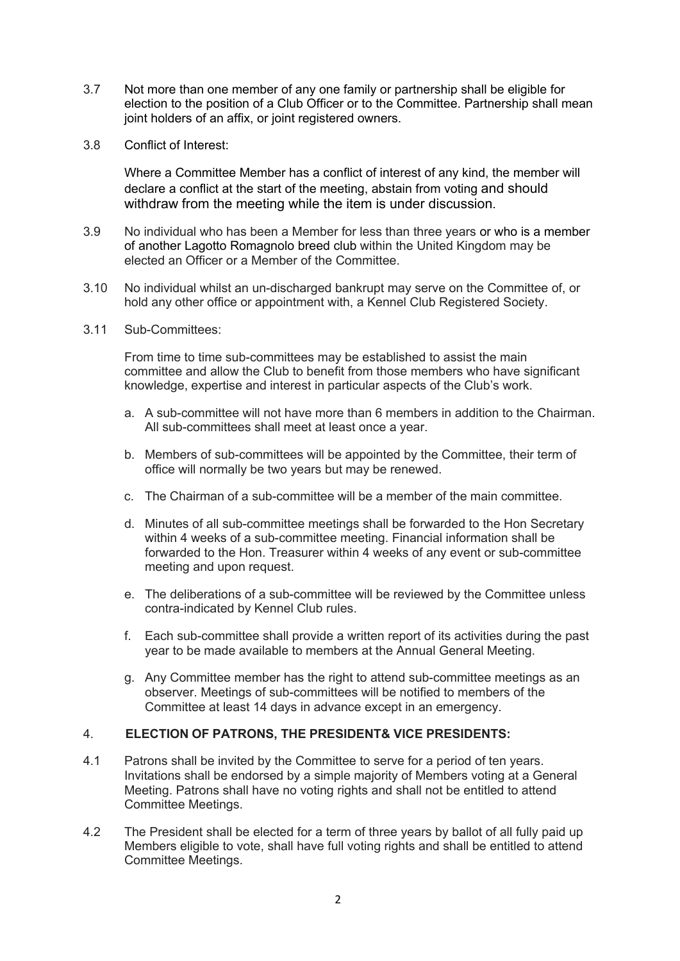- 3.7 Not more than one member of any one family or partnership shall be eligible for election to the position of a Club Officer or to the Committee. Partnership shall mean joint holders of an affix, or joint registered owners.
- 3.8 Conflict of Interest:

Where a Committee Member has a conflict of interest of any kind, the member will declare a conflict at the start of the meeting, abstain from voting and should withdraw from the meeting while the item is under discussion.

- 3.9 No individual who has been a Member for less than three years or who is a member of another Lagotto Romagnolo breed club within the United Kingdom may be elected an Officer or a Member of the Committee.
- 3.10 No individual whilst an un-discharged bankrupt may serve on the Committee of, or hold any other office or appointment with, a Kennel Club Registered Society.
- 3.11 Sub-Committees:

From time to time sub-committees may be established to assist the main committee and allow the Club to benefit from those members who have significant knowledge, expertise and interest in particular aspects of the Club's work.

- a. A sub-committee will not have more than 6 members in addition to the Chairman. All sub-committees shall meet at least once a year.
- b. Members of sub-committees will be appointed by the Committee, their term of office will normally be two years but may be renewed.
- c. The Chairman of a sub-committee will be a member of the main committee.
- d. Minutes of all sub-committee meetings shall be forwarded to the Hon Secretary within 4 weeks of a sub-committee meeting. Financial information shall be forwarded to the Hon. Treasurer within 4 weeks of any event or sub-committee meeting and upon request.
- e. The deliberations of a sub-committee will be reviewed by the Committee unless contra-indicated by Kennel Club rules.
- f. Each sub-committee shall provide a written report of its activities during the past year to be made available to members at the Annual General Meeting.
- g. Any Committee member has the right to attend sub-committee meetings as an observer. Meetings of sub-committees will be notified to members of the Committee at least 14 days in advance except in an emergency.

# 4. **ELECTION OF PATRONS, THE PRESIDENT& VICE PRESIDENTS:**

- 4.1 Patrons shall be invited by the Committee to serve for a period of ten years. Invitations shall be endorsed by a simple majority of Members voting at a General Meeting. Patrons shall have no voting rights and shall not be entitled to attend Committee Meetings.
- 4.2 The President shall be elected for a term of three years by ballot of all fully paid up Members eligible to vote, shall have full voting rights and shall be entitled to attend Committee Meetings.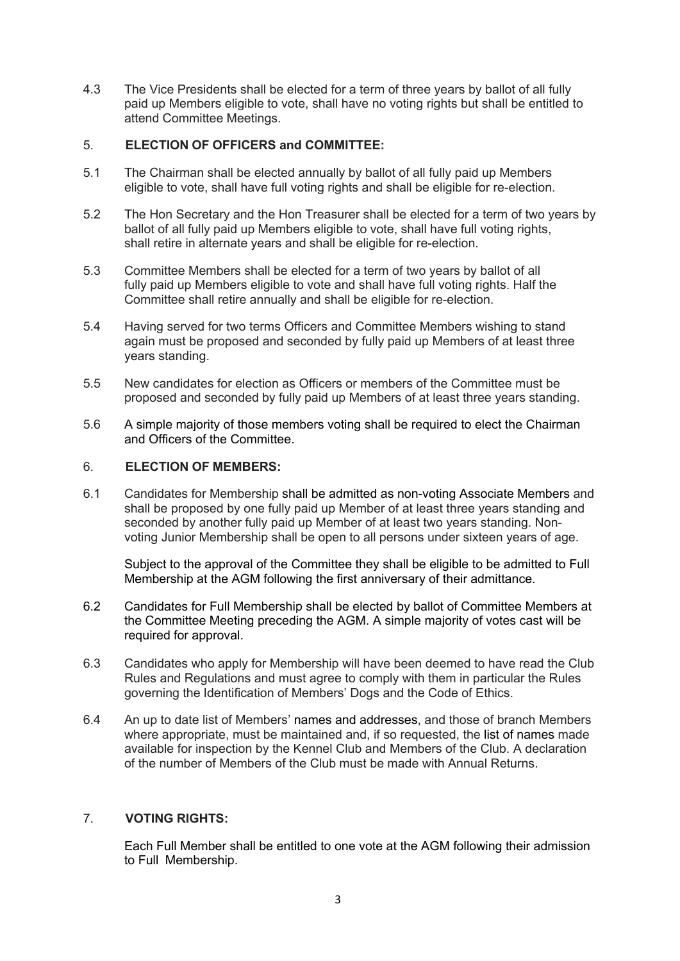4.3 The Vice Presidents shall be elected for a term of three years by ballot of all fully paid up Members eligible to vote, shall have no voting rights but shall be entitled to attend Committee Meetings.

## 5. **ELECTION OF OFFICERS and COMMITTEE:**

- 5.1 The Chairman shall be elected annually by ballot of all fully paid up Members eligible to vote, shall have full voting rights and shall be eligible for re-election.
- 5.2 The Hon Secretary and the Hon Treasurer shall be elected for a term of two years by ballot of all fully paid up Members eligible to vote, shall have full voting rights, shall retire in alternate years and shall be eligible for re-election.
- 5.3 Committee Members shall be elected for a term of two years by ballot of all fully paid up Members eligible to vote and shall have full voting rights. Half the Committee shall retire annually and shall be eligible for re-election.
- 5.4 Having served for two terms Officers and Committee Members wishing to stand again must be proposed and seconded by fully paid up Members of at least three years standing.
- 5.5 New candidates for election as Officers or members of the Committee must be proposed and seconded by fully paid up Members of at least three years standing.
- 5.6 A simple majority of those members voting shall be required to elect the Chairman and Officers of the Committee.

# 6. **ELECTION OF MEMBERS:**

6.1 Candidates for Membership shall be admitted as non-voting Associate Members and shall be proposed by one fully paid up Member of at least three years standing and seconded by another fully paid up Member of at least two years standing. Nonvoting Junior Membership shall be open to all persons under sixteen years of age.

Subject to the approval of the Committee they shall be eligible to be admitted to Full Membership at the AGM following the first anniversary of their admittance.

- 6.2 Candidates for Full Membership shall be elected by ballot of Committee Members at the Committee Meeting preceding the AGM. A simple majority of votes cast will be required for approval.
- 6.3 Candidates who apply for Membership will have been deemed to have read the Club Rules and Regulations and must agree to comply with them in particular the Rules governing the Identification of Members' Dogs and the Code of Ethics.
- 6.4 An up to date list of Members' names and addresses, and those of branch Members where appropriate, must be maintained and, if so requested, the list of names made available for inspection by the Kennel Club and Members of the Club. A declaration of the number of Members of the Club must be made with Annual Returns.

# 7. **VOTING RIGHTS:**

Each Full Member shall be entitled to one vote at the AGM following their admission to Full Membership.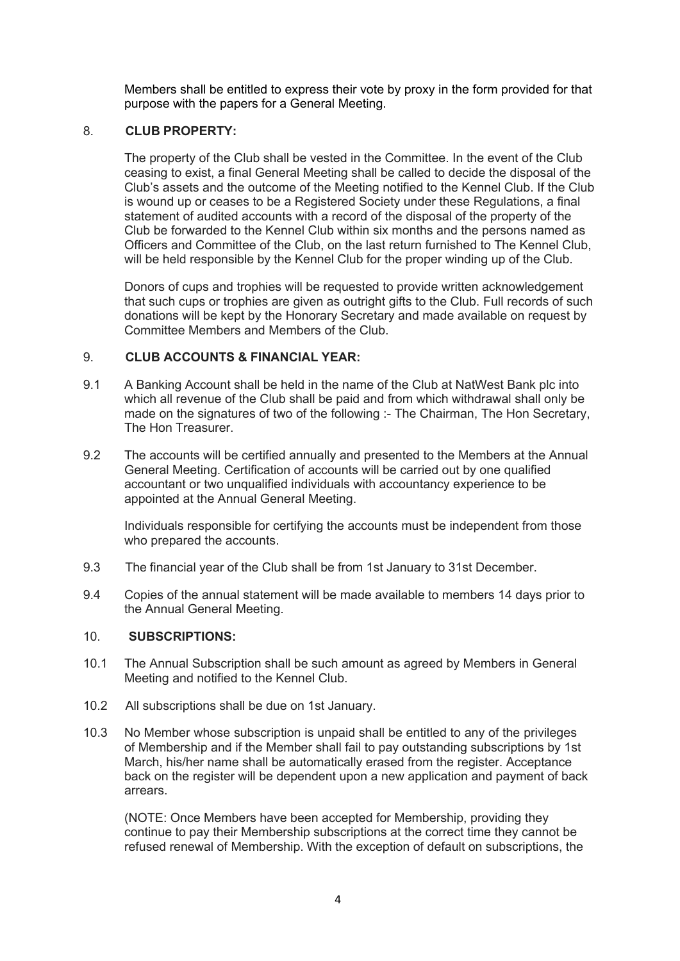Members shall be entitled to express their vote by proxy in the form provided for that purpose with the papers for a General Meeting.

## 8. **CLUB PROPERTY:**

The property of the Club shall be vested in the Committee. In the event of the Club ceasing to exist, a final General Meeting shall be called to decide the disposal of the Club's assets and the outcome of the Meeting notified to the Kennel Club. If the Club is wound up or ceases to be a Registered Society under these Regulations, a final statement of audited accounts with a record of the disposal of the property of the Club be forwarded to the Kennel Club within six months and the persons named as Officers and Committee of the Club, on the last return furnished to The Kennel Club, will be held responsible by the Kennel Club for the proper winding up of the Club.

Donors of cups and trophies will be requested to provide written acknowledgement that such cups or trophies are given as outright gifts to the Club. Full records of such donations will be kept by the Honorary Secretary and made available on request by Committee Members and Members of the Club.

## 9. **CLUB ACCOUNTS & FINANCIAL YEAR:**

- 9.1 A Banking Account shall be held in the name of the Club at NatWest Bank plc into which all revenue of the Club shall be paid and from which withdrawal shall only be made on the signatures of two of the following :- The Chairman, The Hon Secretary, The Hon Treasurer.
- 9.2 The accounts will be certified annually and presented to the Members at the Annual General Meeting. Certification of accounts will be carried out by one qualified accountant or two unqualified individuals with accountancy experience to be appointed at the Annual General Meeting.

Individuals responsible for certifying the accounts must be independent from those who prepared the accounts.

- 9.3 The financial year of the Club shall be from 1st January to 31st December.
- 9.4 Copies of the annual statement will be made available to members 14 days prior to the Annual General Meeting.

#### 10. **SUBSCRIPTIONS:**

- 10.1 The Annual Subscription shall be such amount as agreed by Members in General Meeting and notified to the Kennel Club.
- 10.2 All subscriptions shall be due on 1st January.
- 10.3 No Member whose subscription is unpaid shall be entitled to any of the privileges of Membership and if the Member shall fail to pay outstanding subscriptions by 1st March, his/her name shall be automatically erased from the register. Acceptance back on the register will be dependent upon a new application and payment of back arrears.

(NOTE: Once Members have been accepted for Membership, providing they continue to pay their Membership subscriptions at the correct time they cannot be refused renewal of Membership. With the exception of default on subscriptions, the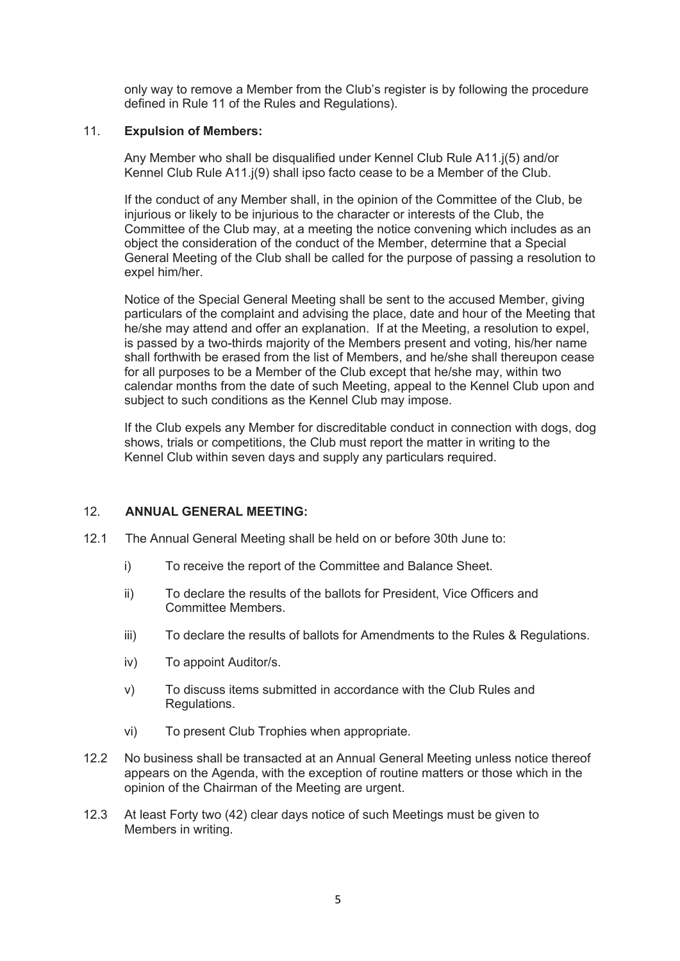only way to remove a Member from the Club's register is by following the procedure defined in Rule 11 of the Rules and Regulations).

## 11. **Expulsion of Members:**

Any Member who shall be disqualified under Kennel Club Rule A11.j(5) and/or Kennel Club Rule A11.j(9) shall ipso facto cease to be a Member of the Club.

If the conduct of any Member shall, in the opinion of the Committee of the Club, be injurious or likely to be injurious to the character or interests of the Club, the Committee of the Club may, at a meeting the notice convening which includes as an object the consideration of the conduct of the Member, determine that a Special General Meeting of the Club shall be called for the purpose of passing a resolution to expel him/her.

Notice of the Special General Meeting shall be sent to the accused Member, giving particulars of the complaint and advising the place, date and hour of the Meeting that he/she may attend and offer an explanation. If at the Meeting, a resolution to expel, is passed by a two-thirds majority of the Members present and voting, his/her name shall forthwith be erased from the list of Members, and he/she shall thereupon cease for all purposes to be a Member of the Club except that he/she may, within two calendar months from the date of such Meeting, appeal to the Kennel Club upon and subject to such conditions as the Kennel Club may impose.

If the Club expels any Member for discreditable conduct in connection with dogs, dog shows, trials or competitions, the Club must report the matter in writing to the Kennel Club within seven days and supply any particulars required.

## 12. **ANNUAL GENERAL MEETING:**

- 12.1 The Annual General Meeting shall be held on or before 30th June to:
	- i) To receive the report of the Committee and Balance Sheet.
	- ii) To declare the results of the ballots for President, Vice Officers and Committee Members.
	- iii) To declare the results of ballots for Amendments to the Rules & Regulations.
	- iv) To appoint Auditor/s.
	- v) To discuss items submitted in accordance with the Club Rules and Regulations.
	- vi) To present Club Trophies when appropriate.
- 12.2 No business shall be transacted at an Annual General Meeting unless notice thereof appears on the Agenda, with the exception of routine matters or those which in the opinion of the Chairman of the Meeting are urgent.
- 12.3 At least Forty two (42) clear days notice of such Meetings must be given to Members in writing.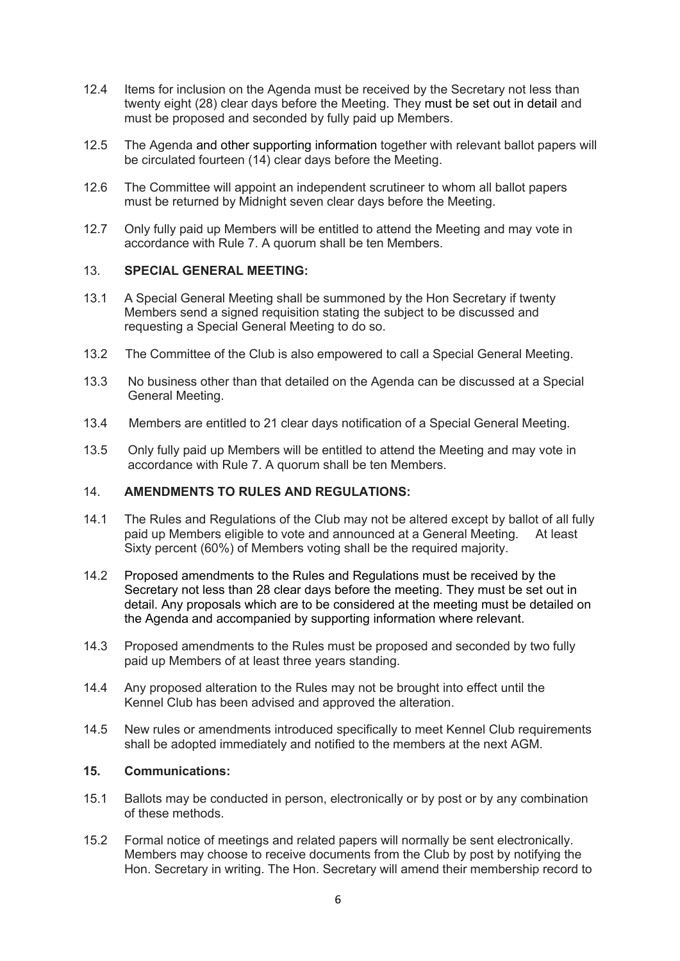- 12.4 Items for inclusion on the Agenda must be received by the Secretary not less than twenty eight (28) clear days before the Meeting. They must be set out in detail and must be proposed and seconded by fully paid up Members.
- 12.5 The Agenda and other supporting information together with relevant ballot papers will be circulated fourteen (14) clear days before the Meeting.
- 12.6 The Committee will appoint an independent scrutineer to whom all ballot papers must be returned by Midnight seven clear days before the Meeting.
- 12.7 Only fully paid up Members will be entitled to attend the Meeting and may vote in accordance with Rule 7. A quorum shall be ten Members.

## 13. **SPECIAL GENERAL MEETING:**

- 13.1 A Special General Meeting shall be summoned by the Hon Secretary if twenty Members send a signed requisition stating the subject to be discussed and requesting a Special General Meeting to do so.
- 13.2 The Committee of the Club is also empowered to call a Special General Meeting.
- 13.3 No business other than that detailed on the Agenda can be discussed at a Special General Meeting.
- 13.4 Members are entitled to 21 clear days notification of a Special General Meeting.
- 13.5 Only fully paid up Members will be entitled to attend the Meeting and may vote in accordance with Rule 7. A quorum shall be ten Members.

## 14. **AMENDMENTS TO RULES AND REGULATIONS:**

- 14.1 The Rules and Regulations of the Club may not be altered except by ballot of all fully paid up Members eligible to vote and announced at a General Meeting. At least Sixty percent (60%) of Members voting shall be the required majority.
- 14.2 Proposed amendments to the Rules and Regulations must be received by the Secretary not less than 28 clear days before the meeting. They must be set out in detail. Any proposals which are to be considered at the meeting must be detailed on the Agenda and accompanied by supporting information where relevant.
- 14.3 Proposed amendments to the Rules must be proposed and seconded by two fully paid up Members of at least three years standing.
- 14.4 Any proposed alteration to the Rules may not be brought into effect until the Kennel Club has been advised and approved the alteration.
- 14.5 New rules or amendments introduced specifically to meet Kennel Club requirements shall be adopted immediately and notified to the members at the next AGM.

## **15. Communications:**

- 15.1 Ballots may be conducted in person, electronically or by post or by any combination of these methods.
- 15.2 Formal notice of meetings and related papers will normally be sent electronically. Members may choose to receive documents from the Club by post by notifying the Hon. Secretary in writing. The Hon. Secretary will amend their membership record to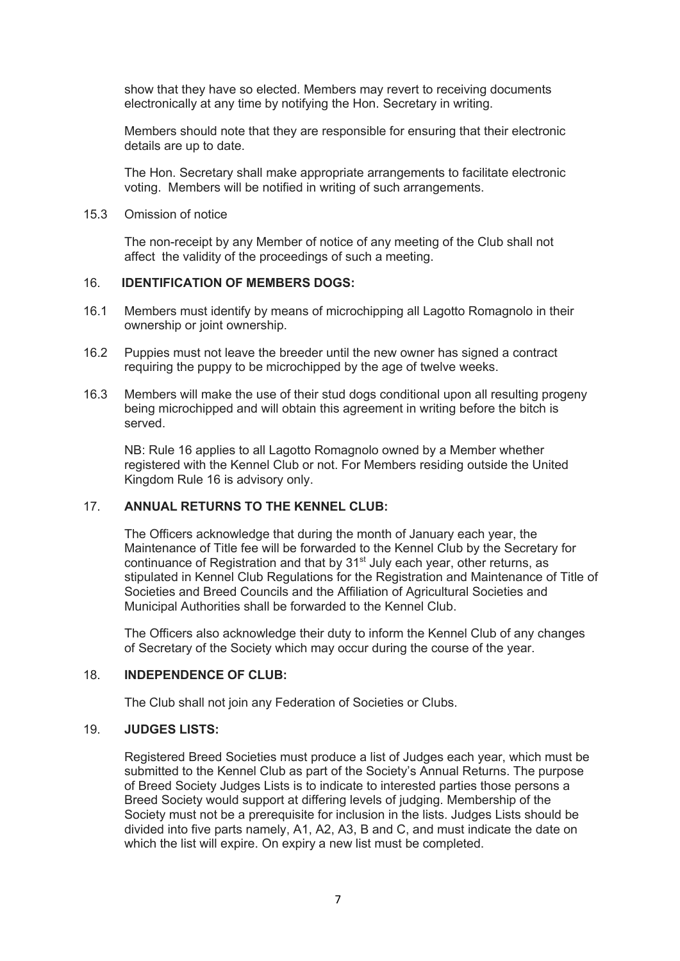show that they have so elected. Members may revert to receiving documents electronically at any time by notifying the Hon. Secretary in writing.

Members should note that they are responsible for ensuring that their electronic details are up to date.

The Hon. Secretary shall make appropriate arrangements to facilitate electronic voting. Members will be notified in writing of such arrangements.

15.3 Omission of notice

The non-receipt by any Member of notice of any meeting of the Club shall not affect the validity of the proceedings of such a meeting.

#### 16. **IDENTIFICATION OF MEMBERS DOGS:**

- 16.1 Members must identify by means of microchipping all Lagotto Romagnolo in their ownership or joint ownership.
- 16.2 Puppies must not leave the breeder until the new owner has signed a contract requiring the puppy to be microchipped by the age of twelve weeks.
- 16.3 Members will make the use of their stud dogs conditional upon all resulting progeny being microchipped and will obtain this agreement in writing before the bitch is served.

NB: Rule 16 applies to all Lagotto Romagnolo owned by a Member whether registered with the Kennel Club or not. For Members residing outside the United Kingdom Rule 16 is advisory only.

# 17. **ANNUAL RETURNS TO THE KENNEL CLUB:**

The Officers acknowledge that during the month of January each year, the Maintenance of Title fee will be forwarded to the Kennel Club by the Secretary for continuance of Registration and that by 31<sup>st</sup> July each year, other returns, as stipulated in Kennel Club Regulations for the Registration and Maintenance of Title of Societies and Breed Councils and the Affiliation of Agricultural Societies and Municipal Authorities shall be forwarded to the Kennel Club.

The Officers also acknowledge their duty to inform the Kennel Club of any changes of Secretary of the Society which may occur during the course of the year.

#### 18. **INDEPENDENCE OF CLUB:**

The Club shall not join any Federation of Societies or Clubs.

### 19. **JUDGES LISTS:**

Registered Breed Societies must produce a list of Judges each year, which must be submitted to the Kennel Club as part of the Society's Annual Returns. The purpose of Breed Society Judges Lists is to indicate to interested parties those persons a Breed Society would support at differing levels of judging. Membership of the Society must not be a prerequisite for inclusion in the lists. Judges Lists should be divided into five parts namely, A1, A2, A3, B and C, and must indicate the date on which the list will expire. On expiry a new list must be completed.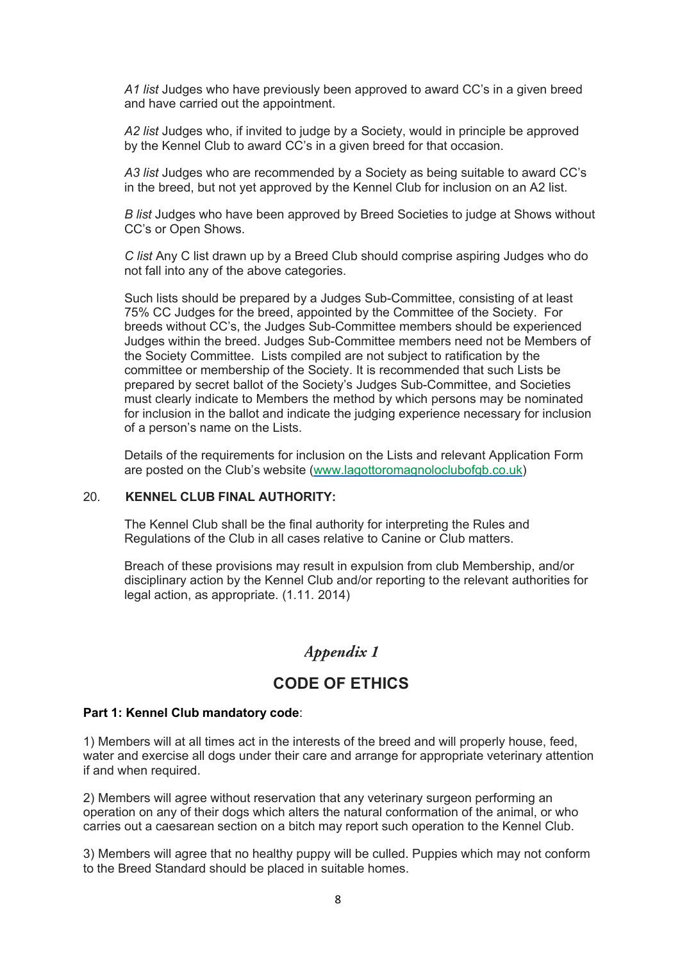*A1 list* Judges who have previously been approved to award CC's in a given breed and have carried out the appointment.

*A2 list* Judges who, if invited to judge by a Society, would in principle be approved by the Kennel Club to award CC's in a given breed for that occasion.

*A3 list* Judges who are recommended by a Society as being suitable to award CC's in the breed, but not yet approved by the Kennel Club for inclusion on an A2 list.

*B list* Judges who have been approved by Breed Societies to judge at Shows without CC's or Open Shows.

*C list* Any C list drawn up by a Breed Club should comprise aspiring Judges who do not fall into any of the above categories.

Such lists should be prepared by a Judges Sub-Committee, consisting of at least 75% CC Judges for the breed, appointed by the Committee of the Society. For breeds without CC's, the Judges Sub-Committee members should be experienced Judges within the breed. Judges Sub-Committee members need not be Members of the Society Committee. Lists compiled are not subject to ratification by the committee or membership of the Society. It is recommended that such Lists be prepared by secret ballot of the Society's Judges Sub-Committee, and Societies must clearly indicate to Members the method by which persons may be nominated for inclusion in the ballot and indicate the judging experience necessary for inclusion of a person's name on the Lists.

Details of the requirements for inclusion on the Lists and relevant Application Form are posted on the Club's website (www.lagottoromagnoloclubofgb.co.uk)

## 20. **KENNEL CLUB FINAL AUTHORITY:**

The Kennel Club shall be the final authority for interpreting the Rules and Regulations of the Club in all cases relative to Canine or Club matters.

Breach of these provisions may result in expulsion from club Membership, and/or disciplinary action by the Kennel Club and/or reporting to the relevant authorities for legal action, as appropriate. (1.11. 2014)

# Appendix 1

# **CODE OF ETHICS**

#### **Part 1: Kennel Club mandatory code**:

1) Members will at all times act in the interests of the breed and will properly house, feed, water and exercise all dogs under their care and arrange for appropriate veterinary attention if and when required.

2) Members will agree without reservation that any veterinary surgeon performing an operation on any of their dogs which alters the natural conformation of the animal, or who carries out a caesarean section on a bitch may report such operation to the Kennel Club.

3) Members will agree that no healthy puppy will be culled. Puppies which may not conform to the Breed Standard should be placed in suitable homes.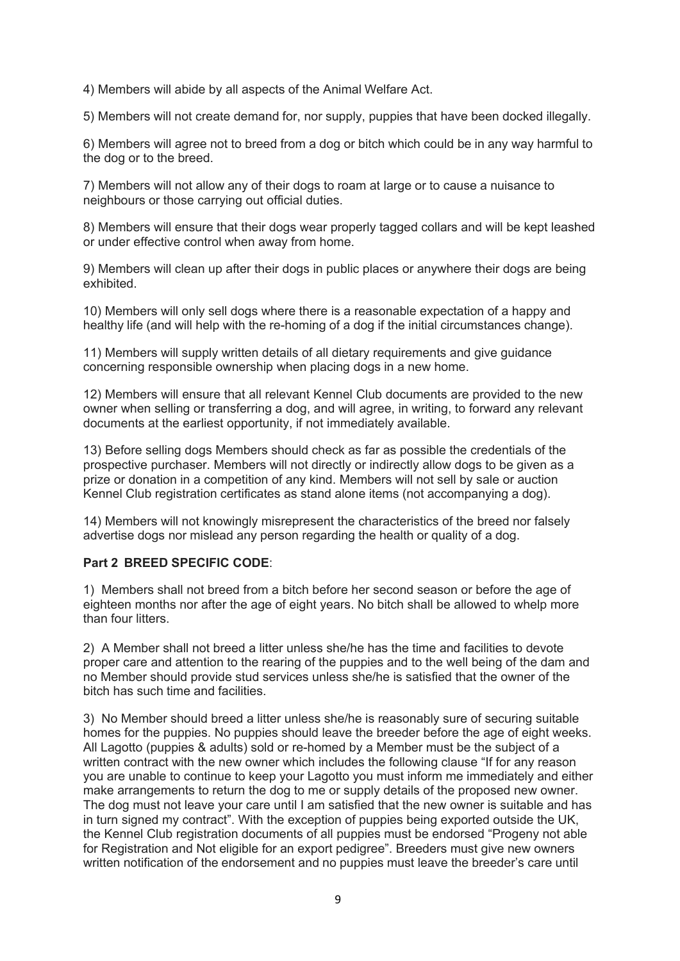4) Members will abide by all aspects of the Animal Welfare Act.

5) Members will not create demand for, nor supply, puppies that have been docked illegally.

6) Members will agree not to breed from a dog or bitch which could be in any way harmful to the dog or to the breed.

7) Members will not allow any of their dogs to roam at large or to cause a nuisance to neighbours or those carrying out official duties.

8) Members will ensure that their dogs wear properly tagged collars and will be kept leashed or under effective control when away from home.

9) Members will clean up after their dogs in public places or anywhere their dogs are being exhibited.

10) Members will only sell dogs where there is a reasonable expectation of a happy and healthy life (and will help with the re-homing of a dog if the initial circumstances change).

11) Members will supply written details of all dietary requirements and give guidance concerning responsible ownership when placing dogs in a new home.

12) Members will ensure that all relevant Kennel Club documents are provided to the new owner when selling or transferring a dog, and will agree, in writing, to forward any relevant documents at the earliest opportunity, if not immediately available.

13) Before selling dogs Members should check as far as possible the credentials of the prospective purchaser. Members will not directly or indirectly allow dogs to be given as a prize or donation in a competition of any kind. Members will not sell by sale or auction Kennel Club registration certificates as stand alone items (not accompanying a dog).

14) Members will not knowingly misrepresent the characteristics of the breed nor falsely advertise dogs nor mislead any person regarding the health or quality of a dog.

## **Part 2 BREED SPECIFIC CODE**:

1) Members shall not breed from a bitch before her second season or before the age of eighteen months nor after the age of eight years. No bitch shall be allowed to whelp more than four litters.

2) A Member shall not breed a litter unless she/he has the time and facilities to devote proper care and attention to the rearing of the puppies and to the well being of the dam and no Member should provide stud services unless she/he is satisfied that the owner of the bitch has such time and facilities.

3) No Member should breed a litter unless she/he is reasonably sure of securing suitable homes for the puppies. No puppies should leave the breeder before the age of eight weeks. All Lagotto (puppies & adults) sold or re-homed by a Member must be the subject of a written contract with the new owner which includes the following clause "If for any reason you are unable to continue to keep your Lagotto you must inform me immediately and either make arrangements to return the dog to me or supply details of the proposed new owner. The dog must not leave your care until I am satisfied that the new owner is suitable and has in turn signed my contract". With the exception of puppies being exported outside the UK, the Kennel Club registration documents of all puppies must be endorsed "Progeny not able for Registration and Not eligible for an export pedigree". Breeders must give new owners written notification of the endorsement and no puppies must leave the breeder's care until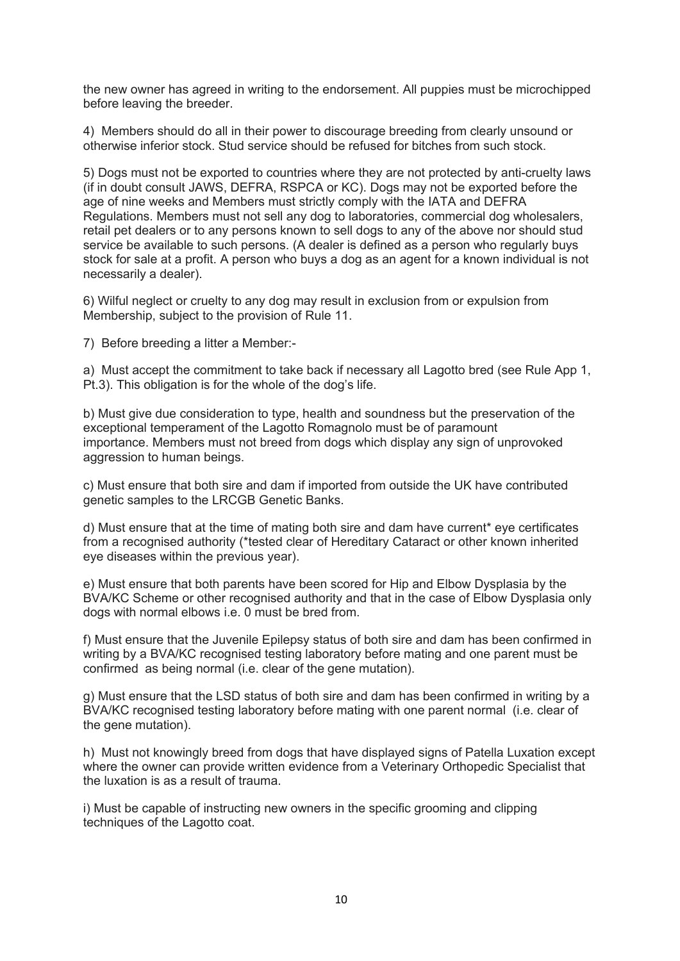the new owner has agreed in writing to the endorsement. All puppies must be microchipped before leaving the breeder.

4) Members should do all in their power to discourage breeding from clearly unsound or otherwise inferior stock. Stud service should be refused for bitches from such stock.

5) Dogs must not be exported to countries where they are not protected by anti-cruelty laws (if in doubt consult JAWS, DEFRA, RSPCA or KC). Dogs may not be exported before the age of nine weeks and Members must strictly comply with the IATA and DEFRA Regulations. Members must not sell any dog to laboratories, commercial dog wholesalers, retail pet dealers or to any persons known to sell dogs to any of the above nor should stud service be available to such persons. (A dealer is defined as a person who regularly buys stock for sale at a profit. A person who buys a dog as an agent for a known individual is not necessarily a dealer).

6) Wilful neglect or cruelty to any dog may result in exclusion from or expulsion from Membership, subject to the provision of Rule 11.

7) Before breeding a litter a Member:-

a) Must accept the commitment to take back if necessary all Lagotto bred (see Rule App 1, Pt.3). This obligation is for the whole of the dog's life.

b) Must give due consideration to type, health and soundness but the preservation of the exceptional temperament of the Lagotto Romagnolo must be of paramount importance. Members must not breed from dogs which display any sign of unprovoked aggression to human beings.

c) Must ensure that both sire and dam if imported from outside the UK have contributed genetic samples to the LRCGB Genetic Banks.

d) Must ensure that at the time of mating both sire and dam have current\* eye certificates from a recognised authority (\*tested clear of Hereditary Cataract or other known inherited eye diseases within the previous year).

e) Must ensure that both parents have been scored for Hip and Elbow Dysplasia by the BVA/KC Scheme or other recognised authority and that in the case of Elbow Dysplasia only dogs with normal elbows i.e. 0 must be bred from.

f) Must ensure that the Juvenile Epilepsy status of both sire and dam has been confirmed in writing by a BVA/KC recognised testing laboratory before mating and one parent must be confirmed as being normal (i.e. clear of the gene mutation).

g) Must ensure that the LSD status of both sire and dam has been confirmed in writing by a BVA/KC recognised testing laboratory before mating with one parent normal (i.e. clear of the gene mutation).

h) Must not knowingly breed from dogs that have displayed signs of Patella Luxation except where the owner can provide written evidence from a Veterinary Orthopedic Specialist that the luxation is as a result of trauma.

i) Must be capable of instructing new owners in the specific grooming and clipping techniques of the Lagotto coat.